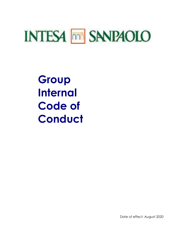# **INTESA MM SANPAOLO**

**Group Internal Code of Conduct** 

Date of effect: August 2020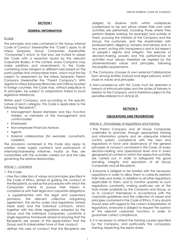#### **SECTION I**

#### **GENERAL INFORMATION**

#### Scope

The principles and rules contained in this Group Internal Code of Conduct (hereinafter the "Code") apply to all Intesa Sanpaolo Group Companies (hereinafter "Companies") which, to that end, are invited to adopt the Code with a resolution issued by the relevant Corporate Bodies. In this context, every Company may make additions and amendments to the Code, containing more stringent or different rules based on the particularities that characterise them, which must first be subject to assessment by the Intesa Sanpaolo Parent Company (hereinafter the "Parent Company"). With regard to Intesa Sanpaolo Branches and Offices located in foreign countries, the Code may, without prejudice to its principles, be subject to adaptations linked to local legislative references.

Within each Company, and according to the specific nature of each category, this Code is applicable to the following "Recipients":

- Management Board Members and Key Function Holders, or members of the management and control bodies
- Employees
- Non-employee Financial Advisors
- Agents
- External collaborators (for example: consultants, suppliers).

The provisions contained in this Code also apply to workers under supply contracts and participants of internship/traineeship initiatives, insofar as they are compatible with the activities carried out and the rules governing the relative relationships.

#### Article 1 – Contents

- 1. This Code:
- cites the collection of values and principles specified in the Code of Ethics, aimed at guiding the conduct of the Recipients, as well as the procedures with which the Companies intend to pursue their mission in compliance with their legal and corporate obligations;
- is supplemented with the legal and supervisory provisions, the relevant collective bargaining agreement, the sector codes and regulations (where these exist) and the individual contracts, which, together with the other regulations adopted by the Group and the individual Companies, constitute a single regulatory framework aimed at ensuring that the Recipients are aware of the expectations that the Group and its stakeholders have of their conduct;
- defines the rules of conduct that the Recipients are

obliged to observe both within workplaces (understood to be any place where their own work activities are performed, including those where they perform flexible working, for example) and outside of them, pursuing the interests of the Company and the Group, the customers, and the shareholders with professionalism, diligence, honesty and fairness and, in any event, acting with transparency and in full respect of people's dignity and integrity. The exercise of decision-making powers and the performance of activities must always therefore be inspired by the aforementioned values and principles, following traceability requirements.

- 2. The Company chooses its own external Collaborators from among entities (natural and legal persons) which share its values and principles.
- 3. Non-compliance with this Code must be deemed a breach of ethical principles and the duties of fairness in relation to the Company, and is therefore subject to the penalties referred to in Article 22.

#### **SECTION II**

#### **OBLIGATIONS AND PROHIBITIONS**

#### Article 2 – Knowledge of regulations and training

- 1. The Parent Company and all Group Companies undertake to promote, through appropriate training and information systems and an adequate internal control system, compliance with the laws and regulations in force and observance of the general principles of conduct contained in this Code, at every decision-making and operational level and in every geographical context in which the respective activities are carried out, in order to safeguard the good standing, integrity and reputation of all Group Companies and all Recipients.
- 2. Everyone is obliged to be familiar with the necessary regulations in order to allow them to correctly perform their tasks and duties, in addition to all other regulations applicable to them, and to monitor updates to such regulations constantly, making particular use of the tools made available by the Company and Group, so as to conduct themselves in accordance with the corporate guidelines and the collection of values and principles contained in the Code of Ethics. If any doubts should arise with regard to the correct interpretation of regulations, everyone is obliged to request the opinion of the relevant corporate functions in order to guarantee correct compliance.
- 3. It is necessary to attend the training courses specified by the Company, and particularly the compulsory training, respecting the expiry dates.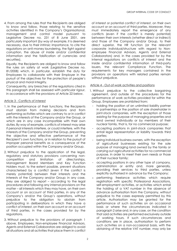4. From among the rules that the Recipients are obliged to know and follow, those relating to the sensitive activities identified in the Company's Organisational, management and control model pursuant to Legislative Decree no. 231 of 8 June 2001, are particularly important (by way of example, it is deemed necessary, due to their intrinsic importance, to cite the regulations on anti-money laundering, the fight against corruption, the abuse of inside and/or confidential information and the falsification of currencies and securities).

Equally, the Recipients are obliged to know and follow the rules on safety at work (Legislative Decree no. 81/2008) which, in particular, establish the duty for Employees to collaborate with their Employer in the pursuit of the objectives for the protection of people's physical and moral integrity.

Consequently, any breaches of the regulations cited in this paragraph shall be assessed with particular rigour, in accordance with the provisions of Article 22 below.

# Article 3 - Conflicts of interest

- 1. In the performance of their functions, the Recipients must abstain from making decisions and from performing activities which are contrary to or in conflict with the interests of the Company and/or the Group, or which are in any case incompatible with their own duties. By way of example, conflicts of interest may arise if personal interests interfere, or could interfere, with the interests of the Company and/or the Group, preventing the objective and effective performance of the Recipient's own functions, or in relation to the pursuit of improper personal benefits as a consequence of the position occupied within the Company and/or Group.
- 2. Without prejudice to the application of the legal, regulatory and statutory provisions concerning noncompetition and limitation of directorships, Management Board Members and Key Function Holders must, to the extent possible, prevent situations characterised by a conflict (even if the conflict is merely potential) between their interests and the interests of the Company and/or Group; in any case, they are obliged to report – according to the legal procedures and following any internal provisions on the matter – all interests which they may have, on their own account or on account of third parties, in any of the Company's and/or the Group's operations, without prejudice to the obligation to abstain from participating in deliberations in which they have a conflict of interest, on their own account or on account of third parties, in the cases provided for by the regulations.
- 3. Without prejudice to the provisions of paragraph 1 above, Employees, Non-employee Financial Advisors, Agents and External Collaborators are obliged to avoid all situations and all activities that place them in conflict

of interest or potential conflict of interest, on their own account or on account of third parties. Moreover, they must immediately report the emergence of any conflicts (even if the conflict is merely potential) between their own interests (whether direct or indirect) and those of the Company and/or Group, to their direct superior, the HR function (or the relevant corporate individual/structure with regard to Nonemployee Financial Advisors, Agents and External Collaborators) and, in the cases provided for by the internal regulations on conflicts of interest and the inside and/or confidential information of third-party issuers, the relevant Compliance Function. The requirements for key managers contained in the provisions on operations with related parties remain without prejudice.

## Article 4 - Out-of-work activities and positions

- 1. Without prejudice to the collective bargaining agreement, and outside of the procedures for the performance of work activities provided for within the Group, Employees are prohibited from:
	- holding the position of an unlimited liability partner in partnerships or the position of sole shareholder in joint-stock companies, with the exception of those existing for the purpose of managing properties and land owned individually or by members of their nuclear family, that is, for no commercial purpose;
	- accepting positions in joint-stock companies that entail legal representation or liability towards third parties;
	- being individual business owners, with the exception of agricultural businesses existing for the sole purpose of managing land owned by the family or carrying out agricultural activities for no commercial purpose, in order to meet their own needs or those of their nuclear family;
	- accepting positions in any other type of company, administration or entity and, more generally, providing their services to third parties, unless explicitly authorised in advance by the Company;
	- performing freelance activities which require registration with specific Professional Associations, self-employment activities, or activities which entail the holding of a VAT number in the absence of advance authorisation from the Company, without prejudice to the cases expressly permitted by this article. Authorisation may be granted for the performance of such activities on an occasional basis or where the circumstances indicated in paragraph 2 arise and, in any case, on the condition that said activities are performed exclusively outside of working hours. If such circumstances and conditions are in place, authorisation to perform such activities on a non-occasional basis, with the obtaining of the relative VAT number, may only be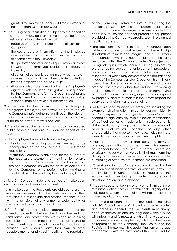granted to Employees under part-time contracts for no more than 25 hours per week.

- 2. The issuing of authorisation is subject to the condition that the activities, positions or work to be performed must not entail or potentially entail:
	- negative effects on the performance of work for the Company;
	- the use of data or information that the Employee can access by virtue of their employment relationship with the Company;
	- the performance of financial speculation activities in which the Employee participates directly or indirectly;
	- direct or indirect participation in activities that are in competition or conflict with the activities carried out by the Company and/or the Group;
	- situations which are prejudicial to the Employee's dignity, which may lead to negative consequences for the Company and/or the Group, including any activity aimed at harming human dignity or inciting violence, hate or any kind or discrimination.
- 3. In relation to the provisions of the foregoing paragraphs, Employees are always obliged to request the Company's prior authorisation, through the relevant HR function, before performing any out-of-work activity or taking on any out-of-work positions.
- 4. The above requirements do not apply for elected public offices or positions taken on on behalf of the Group.
- 5. Non-employee Financial Advisors and Agents must:
- abstain from performing activities deemed to be incompatible on the basis of the specific reference regulations;
- inform the Company in advance, for the purpose of the necessary assessments, of their intention to take on mandates and/or positions from third parties that are not in competition with the activities carried out by the Company, or to perform other working or collaborative activities of any kind and in any form.

## Article 5 - Conduct inside and outside of workplaces, discrimination and sexual harassment

- 1. In workplaces, the Recipients are obliged to use the resources necessary for the performance of their activities in a responsible and efficient manner, in line with the principles of environmental sustainability, as also provided for in the Code of Ethics.
- 2. The Recipients must adopt appropriate measures aimed at protecting their own health and the health of third parties, and safety in the workplace, maintaining responsible conduct in relation to colleagues and all other stakeholders, avoiding conduct (actions or omissions) which could harm their own or other people's mental or physical integrity or the reputation

of the Company and/or the Group, respecting the regulations issued by the competent public and company authorities (for example, where provided, it is necessary to use the personal protection equipment provided by the Company correctly, submit to planned health checks, etc.).

- 3. The Recipients must ensure that their conduct, both inside and outside of workplaces, is in line with high standards of fairness and integrity, and must abstain from conduct which is incompatible with the tasks performed within the Company and/or Group (such as issuing cheques which bounce, being subject to protests, being subject to enforcement procedures relating to financial commitments taken on but not respected) or which may compromise the reputation or image of the Company and/or Group, or which is in any case unlawful or ethically incorrect. To this end, and in order to promote a collaborative and inclusive working environment, the Recipients must abstain from having any conduct or using any language that is not inspired by propriety, and must maintain the utmost respect for every person's dignity and personality.
- 4. All forms of discrimination are prohibited, including, for example, discrimination linked to gender, identity and/or expression of gender, sexual/affective orientation, age, ethnicity, religious beliefs, membership of political parties or trade unions, socio-economic status, nationality, language, cultural background, physical and mental condition, or any other characteristic that a person may have, including those linked to the manifestation of their own thoughts.
- 5. Actions and/or behaviour that constitute forms of offence, defamation, harassment, sexual harassment or gender-based violence, whether expressed physically, verbally or non-verbally, that may harm the dignity of a person or create an intimidating, hostile, humiliating or offensive environment, are prohibited.
- 6. Offensive actions and/or behaviour which result in the creation of a situation of distress or which may explicitly or implicitly influence decisions regarding the employment relationship and/or professional development are also prohibited.
- 7. Mobbing, bossing, bullying or any other intimidating or retaliatory actions that are harmful to the dignity of the individual at whom they are aimed will not be tolerated under any circumstances.
- 8. In their use of channels of communication, including "chats", "social networks", including private profiles, and online in general, the Recipients must always conduct themselves and use language which is in line with integrity and fairness, and which in any case does not cause offence to people and/or harm to the image or reputation of the Company, the Group and the Recipients themselves, while abstaining from any usage that contrasts with the provisions of this Code and the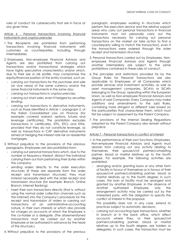rules of conduct for cybersecurity that are in force at any given time.

Article 6 - Personal transactions involving financial instruments and cryptocurrencies

- 1. The Recipients are prohibited from performing transactions involving financial instruments with customers as counterparties, including through intermediaries.
- 2. Employees, Non-employee Financial Advisors and Agents are also prohibited from carrying out transactions and/or transactional strategies which have highly speculative characteristics and/or which, due to their size or risk profile, may compromise the equity/financial position of the entity involved, such as:
	- carrying out transactions for the purchase and sale (or vice versa) of the same currency and/or the same financial instruments in the same day;
	- carrying out transactions in cryptocurrencies;
	- carrying out short sales, even if hedged by securities lending;
	- carrying out transactions in derivative instruments, such as those identified in Article 1, paragraph 2, of the Italian Consolidated Law on Finance (for example: covered warrant, options, futures and leverage certificates). The prohibition excludes transactions in certificates, ETFs, ETCs and ETNs, provided that they do not constitute leverage, as well as transactions in CAP derivative instruments aimed at hedging the interest rate risk on residential mortgages.

3. Without prejudice to the provisions of the previous paragraphs, Employees are also prohibited from:

- carrying out personal transactions which, due to the number or frequency thereof, distract the individual carrying them out from performing their duties within the company;
- sending orders directly to the order execution structures (if these are separate from the order receipt and transmission structure); they must instead necessarily deal with the order receipt and transmission structure (for example: Branch, Online Branch, Internet Banking);
- insert their own transactions directly (that is, without using the normal order collection channels such as the Internet) into the Company's procedure for the receipt and transmission of orders or carrying out transactions of an administrative-accounting nature, in their own interests or which also provide for charges on accounts of which the Employee is the co-holder or a delegate. (The aforementioned transactions must be carried out by another Employee or be authorised in advance by the head of the structure.)
- 4. Without prejudice to the provisions of the previous

paragraph, employees working in structures which perform the execution service and the relative support areas who carry out personal transactions in financial instruments must not personally carry out the transactions necessary for carrying out personal transactions on the market (or take action to find a counterparty willing to match the transaction), even if the transactions were ordered through the order receipt and transmission structure.

- 5. Personal transactions carried out by Employees, Nonemployee Financial Advisors and Agents through another intermediary are subject to the same prohibitions contained in these rules of conduct.
- 6. The principles and restrictions provided for by the Group Rules for Personal Transactions are also applicable to Employees of all Companies which provide services and investment activities, as well as asset management companies, SICAVs or SICAFs belonging to the Group, operating within the European Union, as well as Non-employee Financial Advisors and Agents of said Companies. Every Company may make additions and amendments to the said Rules, containing more stringent or different rules based on the particularities that characterise them, which must first be subject to assessment by the Parent Company.
- 7. The provisions of the Internal Dealing Regulations adopted by the Parent Company also remain without prejudice.

## Article 7 - Personal transactions in conflict of interest

- 1. In the performance of their own functions, Employees, Non-employee Financial Advisors and Agents must abstain from carrying out any activity relating to themselves, their spouse/civil partner/cohabiting partner, blood or marital relatives up to the fourth degree. For example, the following activities are prohibited:
	- arranging and/or granting loans or any other form of facility in favour of themselves or in favour of their spouse/civil partner/cohabiting partner, blood or marital relatives up to the fourth degree; in such cases, the loan or facility must be arranged and granted by another Employee. In the absence of another authorised Employee, only the arrangement activity may be carried out by the interested party, with the obligation to specify the conflict of interest in the proposal.

This possibility does not, in any case, extend to practices subject to automatic decisions;

- carrying out accounting-type transactions, whether in branch or in the back office, which affect accounts where they, or their spouse/civil partner/cohabiting partner, blood or marital relatives up to the fourth degree, are holders or delegates; in such cases, the transaction must be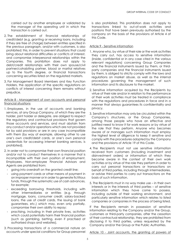carried out by another employee or validated by the manager of the operating unit in which the transaction is carried out.

- 2. The establishment of financial relationships of credit/debt (e.g. granting or receiving loans, including if they are free of charge) between entities specified in the previous paragraph, and/or with customers, is also prohibited; this, in order to prevent situations that could bring about relational difficulties or conflicts of interest, and compromise interpersonal relationships within the Companies. This prohibition does not apply to debt/credit relationships with their own spouse/civil partner/cohabiting partner, blood or marital relatives up to the fourth degree, or financial transactions concerning securities listed on the regulated markets.
- 3. For Management Board Members and Key Function Holders, the application of the specific regulations on conflicts of interest concerning them remains without prejudice.

## Article 8 - Management of own accounts and personal financial situations

- 1. Employees, in the use of accounts and banking services, at any Group Company, of which they are the holder, joint holder or delegate, are obliged to respect the regulatory and contractual provisions that govern those accounts and services, and must abstain from any conduct and/or operations which are not provided for by said provisions or are in any case incompatible with them (by way of example, allowing other to use one's own credit/debit cards, or one's own personal credentials for accessing internet banking services, is prohibited).
- 2. In order not to compromise their own financial position and/or not to conduct themselves in a manner that is incompatible with their own position of employment, Employees, Non-employee Financial Advisors and Agents are prohibited from:
	- going into overdraft on the granted credit line;
	- using payment cards or other means of payment in an improper manner or in order to generate fictitious funds, through the systematic use of cash advances, for example;
	- exceeding borrowing thresholds, including with other intermediaries or entities (e.g. through mortgage, loans, consumer credit, salary-backed loans, the use of credit cards, the issuing of bank guarantees, etc.) which may, even only partially, compromise their own ability to repay;
	- practising, including in their private lives, activities which could potentially harm their financial position (such as gambling, betting, even if practised at authorised shops and websites).
- 3. Processing transactions of a commercial nature on accounts under special conditions for Group personnel

is also prohibited. This prohibition does not apply to transactions linked to out-of-work activities and positions that have been previously authorised by the company on the basis of the provisions of Article 4 of this Code.

## Article 9 - Sensitive information

- 1. Anyone who, by virtue of their role or the work activities they carry out, has access to sensitive information (inside, confidential or in any case cited in the various relevant regulations) concerning Group Companies and the financial instruments issued by them, or thirdparty companies and the financial instruments issued by them, is obliged to strictly comply with the laws and regulations on market abuse, as well as the internal procedures governing the management of such information and its disclosure to the market.
- 2. Sensitive information acquired by the Recipients by virtue of their role and/or in relation to the performance of their work activities must be treated in compliance with the regulations and procedures in force and in a manner that always guarantees its confidentiality and privacy.
- 3. Sensitive information may only be circulated within the Company's structures, or the Group Companies, among those people who have an effective and justified need to know it for work reasons or by virtue of the role that they perform. Anyone who becomes aware of or manages such information must employ the highest level of diligence to keep it sensitive and comply with the procedures adopted by the Company and the provisions of Article 19 of this Code.
- 4. The Recipients must not use sensitive information received from customers (including investment and disinvestment orders) or information of which they become aware in the context of their own work activities or by virtue of the role they perform in order to carry out personal transactions or transactions on behalf of third parties, including through intermediaries, or advise third parties to carry out transactions on the basis of such information.
- 5. The Recipients must in no way make use in their own interests or in the interests of third parties – of sensitive information which they have come to possess, including outside of their working environment, and particularly sensitive information which relates to listed companies or companies in the process of being listed.

If the Recipients remain in possession of sensitive information relating to the Company and/or the Group, customers or third-party companies, after the cessation of their contractual relationship, they are prohibited from disclosing it to third parties, unless requested by the Company and/or the Group or the Public Authorities.

Article 10 - Joint accounts, the granting of powers of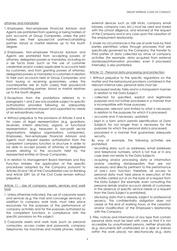#### attorney and mandates

- 1. Employees, Non-employee Financial Advisors and Agents are prohibited from opening or being holders of joint accounts at Group Companies, unless the joint holders are their spouse/civil partner/cohabiting partner, blood or marital relatives up to the fourth degree.
- 2. Employees, Non-employee Financial Advisors and Agents are prohibited from accepting powers of attorney, delegated powers or mandates, including on a de facto basis (such as the use of customer credentials and/or codes) applicable to accounts held by customers, and from granting powers of attorney, delegated powers or mandates to customers in relation to their own accounts held at Group Companies, and from issuing or receiving guarantees, unless the counterparties are (in both cases) their spouse/civil partner/cohabiting partner, blood or marital relatives up to the fourth degree.
- 3. Exceptions from the prohibitions referred to in paragraphs 1 and 2 are only possible subject to specific authorisation provided following an adequately justified/documented request and supported by needs of an extraordinary nature.
- 4. Without prejudice to the provisions of Articles 3 and 4, for cases of legal representation (e.g. guardians, receivers, interim directors), organic or functional representation (e.g. treasurers in non-profit sector organisations, religious organisations, companies), Employees, Non-employee Financial Advisors and Agents must request express authorisation from the competent company function or structure in order to be able to accept powers of attorney or delegated powers relating to the accounts held by the represented entities at Group Companies.
- 5. In relation to Management Board Members and Key Function Holders, the application of the specific procedures adopted by the Company pursuant to Articles 53 and 136 of the Consolidated Law on Banking and Article 2391 bis of the Civil Code remain without prejudice.

## Article 11 - Use of company assets, services and work tools

- 1. Unless otherwise indicated, the use of corporate assets and services (e.g. the mail and concierge services), in addition to company work tools, must take place exclusively for the purposes of the performance of company activities and for the purposes authorised by the competent functions, in compliance with the specific provisions on this subject.
- 2. Corporate assets and work tools (such as personal computers, access codes and passwords, company telephones, fax machines and mobile phones, tablets,

external devices such as USB sticks, company email inboxes, company cars, etc.) must be used and stored with the utmost diligence, and returned at the request of the Company and in any case upon the cessation of the employment relationship.

3. Under no circumstances is the use of work tools by third parties permitted, unless through processes that are specifically governed by the Company; the transfer to third parties of data collected by virtue of company activities (for example: data acquired from external databases/information providers, even if processed internally), is also prohibited.

# Article 12 - Personal data processing and protection

- 1. Without prejudice to the specific regulations on the matter and the behavioural provisions contained in the relevant internal rules, personal data must be:
	- processed lawfully, fairly and in a transparent manner in relation to the Data Subject;
	- collected for specified, explicit and legitimate purposes and not further processed in a manner that is incompatible with those purposes;
	- adequate, relevant and limited to what is necessary in relation to the purposes for which it is processed;
	- accurate and, if necessary, updated;
	- kept in a form which permits identification of Data Subjects for not longer than is necessary for the purposes for which the personal data is processed;
	- processed in a manner that guarantees adequate security.

By way of example, the following activities are prohibited:

- recording data, such as addresses, email addresses and telephone numbers, which is not true or in any case does not relate to the Data Subjects;
- acquiring and/or processing data or information and/or creating databases/lists that are not necessary and directly pertinent to the performance of one's own function; therefore, all access to personal data must take place in execution of the activities carried out or on the basis of a request from the Data Subject (for example, even consulting the personal details and/or account details of customers in the absence of specific service needs or a request from the Data Subject is prohibited).
- disclosing data that is already subject to professional secrecy. This confidentiality obligation does not cease at the end of working hours, or the cessation and/or modification of the Employee's relationship with the Company.
- 2. Files, notices and information of any type that contain personal data must be kept with care so that it is not accessible by unauthorised persons, neither physically (e.g. documents left unattended on a desk or shelves within the work place) nor electronically (e.g. data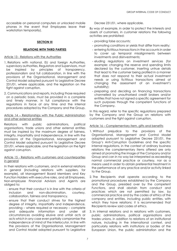accessible on personal computers or unlocked mobile phones in the event that Employees leave their workstation temporarily).

## **SECTION III**

#### **RELATIONS WITH THIRD PARTIES**

#### Article 13 - Relations with the Authorities

- 1. Relations with national, EU and foreign Authorities, supervisory authorities, Regulators and Supervisors, must be inspired by principles of transparency, professionalism and full collaboration, in line with the provisions of the Organisational, Management and Control Model adopted pursuant to Legislative Decree 231/01, where applicable, and the legislation on the fight against corruption.
- 2. Communications and reports, including those required on a periodic basis, must be provided in a complete and timely manner, in full compliance with the regulations in force at any time and the internal procedures adopted by the Company and the Group.

#### Article 14 – Relationships with the Public Administration and other external entities

Relations with public administrations, political organisations, trade unions and other external entities must be inspired by the maximum degree of fairness, integrity, impartiality and independence, in line with the provisions of the Organisational, Management and Control Model adopted pursuant to Legislative Decree 231/01, where applicable, and the leaislation on the fight against corruption.

#### Article 15 - Relations with customers and counterparties in general

In their relations with customers, and in external relations in general (including relations with suppliers, for example), all Management Board Members and Key Function Holders with executive roles, and all Employees, Non-employee Financial Advisors and Agents are obliged to:

- ensure that their conduct is in line with the criteria of inclusion and non-discrimination, courtesy, collaboration, fairness and transparency.
- ensure that their conduct strives for the highest degree of integrity, impartiality and independence, providing – where required or necessary – complete and adequate information and under all circumstances avoiding elusive and unfair acts or acts which in any case even partially compromise the independence of mind of the interlocutor, in line with the provisions of the Organisational, Management and Control Model adopted pursuant to Legislative

Decree 231/01, where applicable.

By way of example, in order to protect the interests and assets of customers, in customer relations the following activities are prohibited:

- providing false accounts;

- promoting conditions or yields that differ from reality;
- entering fictitious transactions in the accounts in order to cover up temporal misalignments between investments and disinvestments;
- eluding regulations on investment services (for example: changing the reserve and spending limits declared by the customer, inserting untrue details that lead to the customer being profiled in a manner that does not respond to their actual investment needs or using fictitious transactions aimed at changing the assessment of an investment's suitability);
- preparing and deciding on financing transactions channelled by unauthorised credit brokers and/or entities that have not signed a specific agreement for such purposes through the competent functions of the Company.

In this regard, refer to the specific regulations prepared by the Company and the Group on relations with customers and the fight against corruption.

## Article 16 – Complementary item, gifts and benefits

- 1. Without prejudice to the provisions of the Organisational, Management and Control Model adopted pursuant to Legislative Decree 231/01, the Group's Anti-Corruption Guidelines and the specific internal regulations, in the context of ordinary business relations the complementary items offered are only aimed at promoting the image of the Company and/or Group and can in no way be interpreted as exceeding normal commercial practice or courtesy, nor as a means used in order to obtain preferential treatment in the performance of any practice and/or activity linked to the Group.
- 2. The Recipients shall operate according to the promotional procedures established by the Company and the Group, presided over by the competent Functions, and shall abstain from conduct and practices which are not permitted by law, by commercial practice and by the codes of ethics of the company and entities, including public entities, with which they have relations; it is recommended that Recipients review said codes of ethics.
- 3. In internal relations and in relations with customers, public administrations, political organisations and trades unions, in addition to relations of an institutional nature, including in the international context, and particularly relations with institutions or bodies of the European Union, the public administration and the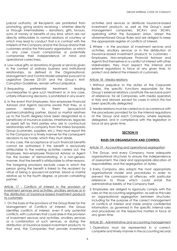judicial authority, all Recipients are prohibited from promoting, giving and/or receiving – whether directly or through intermediaries – donations, gifts, favours, sums of money or benefits of any kind, which are not directly attributable to normal relations of courtesy or which may lead to conduct that is in contrast with the interests of the Company and/or the Group and/or their customers and/or the third-party organisation, or which in any case could compromise or potentially compromise their independence of mind and operational correctness.

- 4. Low-value gifts, or donations of goods or services given in the context of ordinary business and institutional relationships, as defined in the Organisational, Management and Control Model adopted pursuant to Legislative Decree 231/01 and the Group's Anti-Corruption Guidelines, remain without prejudice.
- 5. Requesting preferential treatment, leading counterparties to give such treatment or, in any case, unfairly influencing decisions, is prohibited in any event.
- 6. In the event that Employees, Non-employee Financial Advisors and Agents become aware that they, or a person related to them (spouse/civil partner/cohabiting partner, blood or marital relatives up to the fourth degree) have been designated as a beneficiary of insurance policies, inheritances, legacies or assets left by third parties who are in contractual relationships with a company from the Intesa Sanpaolo Group (customers, suppliers, etc.), they must report this to the Company in a timely manner for the consequent decisions to be made, which they must abide.

In any case, the acceptance of such financial benefits cannot be authorised if the benefit is exclusively attributable to the working activities carried out; the Employee, Non-employee Financial Advisor or Agent has the burden of demonstrating, in a non-generic manner, that the benefit is attributable to other reasons. The foregoing provisions exclude cases in which the person giving the benefit is linked to the recipient by virtue of being a spouse/civil partner, blood or marital relative up to the fourth degree, or proven cohabiting partner.

Article 17 - Conflicts of interest in the provision of investment services and activities, ancillary services or in the distribution of insurance-based investment products to customers

1. On the basis of the provisions of the Group Rules for the Management of Conflicts of Interest, the Group identifies conflicts of interest, even if only potential conflicts, with customers that could arise in the provision of investment services and activities, ancillary services or a combination of such services, or during the distribution of insurance-based investment products; to that end, the Companies that provide investment

activities and services or distribute insurance-based investment products, as well as the Group's asset management companies, SICAVs and SICAFs, operating within the European Union, adopt the aforementioned Group Rules and are obliged to keep the appropriate register of conflicts of interest.

2. Where – in the provision of investment services and activities, ancillary services or in the distribution of insurance-based investment products to customers – Employees, Non-employee Financial Advisors and Agents find themselves in a conflict of interest with other stakeholders, they must respect the internal and external regulations in force at any given time, to protect and defend the interests of customers.

## Article 18 - Media relations

- 1. Without prejudice to the duties of the Corporate Bodies, the specific Functions responsible for the Group's external relations constitute the exclusive point of reference, for all Companies, with media operators in Italy and abroad, except for cases in which this has been specifically delegated.
- 2. Media relations must be carried on in accordance with the procedures provided for by the internal regulations of the Group and each Company, where expressly delegated, and in compliance with the legislation in force at any given time.

# **SECTION IV**

## **RULES ON ORGANISATION AND CONTROL**

## Article 19 - Accounting and operational segregation

- 1. The Group, and every Company, have adequate organisational structures to ensure the independence of assessment, the clear and appropriate allocation of responsibilities, and the segregation of duties.
- 2. Every Company also adopts the most appropriate organisational model and procedures in order to prevent the commission of offences, with particular reference to those which could entail the administrative liability of the Company itself.
- 3. Employees are obliged to rigorously comply with the rules on the accounting segregation, as well as the rules on organisational segregation between structures, including for the purpose of the correct management of conflicts of interest and inside and/or confidential information, as governed in the specific internal rules and procedures on the respective matters in force at any given time.

## Article 20 - Administrative and accounting management

1. Operations must be represented in a correct, complete and timely manner in the accounting records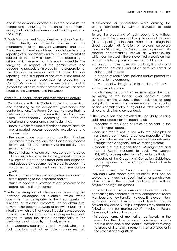and in the company databases, in order to ensure the correct and truthful representation of the economic, equity and financial performance of the Company and the Group.

2. Each Management Board Member and Key Function Holder directly or indirectly involved in the management of the relevant Company, and each Employee, is therefore obliged to collaborate in the reporting of all operations and to keep documentation related to the activities carried out, according to criteria which ensure that it is easily traceable. The foregoing, in respect of the administrative and accounting procedures in place for the preparation of the financial statements and all other financial reporting, both in support of the attestations required from the manager responsible for preparing the Company's financial reports, where present, and to protect the reliability of the corporate communications issued by the Company and the Group.

## Article 21 - Checks, reports and restrictions on activity

- 1. Compliance with this Code is subject to supervision and monitoring by the competent governance and control functions. The Parent Company ensures that the performance of such activities within the Group takes place independently according to adequate professional standards and, in particular, that:
	- those to whom the abovementioned control activities are allocated possess adequate experience and professionalism;
	- the governance and control functions involved operate with resources and tools that are appropriate for the volumes and complexity of the activity to be subject to control;
	- the control activities are planned, correctly targeted at the areas characterised by the greatest corporate risk, carried out with the utmost care and diligence, and adequately documented in order to support the outcomes of checks and any recommendations given.
	- the outcomes of the control activities are subject to direct reporting to the corporate bodies;
	- structure heads are informed of any problems to be addressed in a timely manner.
- 2. With the exception of interpersonal issues (disputes between colleagues, for example) which, where significant, must be reported to the direct superior, HR function or relevant corporate individual/structure, anyone who becomes aware of unlawful situations or situations which are in any case irregular is encouraged to inform the Audit function, as an independent body obliged to keep the strictest confidentiality in the performance of its audits, in a timely manner.

Every Company guarantees that individuals who report such situations shall not be subject to any reprisals,

discrimination or penalisation, while ensuring the strictest confidentiality, without prejudice to legal obligations.

To aid the processing of such reports, and without prejudice to the possibility of using traditional channels (direct reporting to the Audit Function or through the direct superior, HR function or relevant corporate individual/structure), the Group offers a process with specific characteristics, known as whistleblowing, which can be used if there is even just a suspicion that any of the following has occurred or could occur:

- a breach of rules governing banking, financial and insurance activities and other activities linked or instrumental thereto;
- a breach of regulations, policies and/or procedures internal to the company;
- any conduct which gives rise to conflicts of interest;
- any criminal offence.

In such cases, the party involved may report the issues by writing to the specific email addresses made available by the Group. Without prejudice to legal obligations, the reporting system ensures the reporting person's confidentiality, ruling out the risk of retaliatory, disloyal or discriminatory conduct.

- 3. The Group has also provided the possibility of using additional process for the reporting of:
	- breaches of the Code of Ethics, to be sent to the specific email address;
	- conduct that is not in line with the principles of sustainable commercial practices, respectful of the dignity of the workers and the needs of the customers, through the "Io Segnalo" active listening system;
	- breaches of the Organisational, Management and Control Model pursuant to Legislative Decree 231/2001, to be reported to the Surveillance Body;
	- breaches of the Group's Anti-Corruption Guidelines, to be reported to the Company Head of Anti-Corruption.

In these cases, the Group also guarantees that individuals who report such situations shall not be subject to any reprisals, discrimination or penalisation, while ensuring the strictest confidentiality, without prejudice to legal obligations.

- 4. In order to aid the performance of internal controls concerning the conduct of its own Management Board Members and Key Function Holders, Employees, Nonemployee Financial Advisors and Agents, and to prevent any abuse, Group Companies may adopt the following measures, making use of the relevant Parent Company Functions if necessary:
	- introduce forms of monitoring, particularly in the event that the aforementioned individuals come to possess inside and/or confidential information relating to issuers of financial instruments that are listed or in the process of being listed;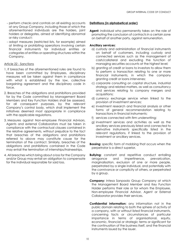- perform checks and controls on all existing accounts at any Group Company, including those of which the aforementioned individuals are the holders, joint holders or delegates, aimed at identifying abnormal or risky conduct;
- adopt measures (restricted lists, for example) aimed at limiting or prohibiting operations involving certain financial instruments for individual entities or categories of entities or operating structures within the Company.

## Article 22 - Sanctions

- 1. If breaches of the aforementioned rules are found to have been committed by Employees, disciplinary measures will be taken against them in compliance with what is established by the law, collective bargaining agreement and the disciplinary code in force.
- 2. Breaches of the obligations and prohibitions provided for by the Code committed by Management Board Members and Key Function Holders shall be assessed, for all consequent purposes, by the relevant Company's control body, which shall implement the initiatives deemed most appropriate in compliance with the applicable regulations.
- 3. Measures against Non-employee Financial Advisors, Agents and external Collaborators must be taken in compliance with the contractual clauses contained in the relative agreements, without prejudice to the fact that breaches of the obligations and prohibitions referred to above may constitute cause for the termination of the contract. Similarly, breaches of the obligations and prohibitions contained in the Code may entail the termination of internships/traineeships.
- 4. All breaches which bring about a loss for the Company and/or Group may entail an obligation to compensate for the individual responsible for said loss.

## **Definitions (in alphabetical order)**

**Agent:** individual who permanently takes on the role of promoting the conclusion of contracts in a certain zone on behalf of another party, against remuneration.

#### **Ancillary services:**

- a) custody and administration of financial instruments on behalf of customers, including custody and connected services such as the management of cash/collateral and excluding the function of managing securities accounts at the highest level;
- b) granting of credit or loans to investors to allow them to perform a transaction relating to one or more financial instruments, in which the company granting credit or loans intervenes;
- c) corporate consulting on capital structure, industrial strategy and related matters, as well as consultancy and services relating to company mergers and acquisitions;
- d) currency exchange service when linked to the provision of investment services;
- e) investment research and financial analysis or other forms of general recommendation relating to transactions in financial instruments;
- f) services connected with firm underwriting;
- g) investment services and activities as well as the ancillary services previously listed and connected to derivative instruments specifically listed in the relevant regulations, if linked to the provision of investment or ancillary services.
- **Bossing:** specific form of mobbing that occurs when the perpetrator is a direct superior.
- **Bullying:** constant and repetitive conduct entailing arrogance and impertinence, prevarication, marginalisation, exclusion of one or more people, perpetrated by a single individual, and potentially with the connivance or complicity of others, or perpetrated by a group.
- **Company:** Intesa Sanpaolo Group Company at which the Management Board Member and Key Function Holder performs their role or for whom the Employee, Non-employee Financial Advisor, Agent or External Collaborator provides their services.
- **Confidential Information:** any information not in the public domain relating to both the sphere of activity of a company, with or without listed financial instruments, concerning facts or circumstances of particular importance in terms of organisational, equity, economic, financial or strategic terms or significant for the continuation of the business itself, and the financial instruments issued by the issuer.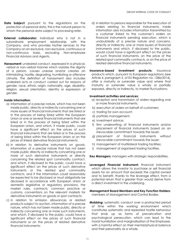- **Data Subject:** pursuant to the regulations on the protection of personal data, this is the natural person to whom the personal data subject to processing refer.
- **External collaborator:** individual who is not in a subordinate employment relationship with the Company, and who provides his/her services to the Company on an exclusive, non-exclusive, continuous or non-continuous basis, excluding Non-employee Financial Advisors and Agents.
- **Harassment:** undesired conduct, expressed in a physical, verbal or non-verbal manner which violates the dignity of a person, causes unease and/or creates an intimidating, hostile, degrading, humiliating or offensive climate. The definition of harassment also includes undesired acts or conduct carried out for reasons of gender, race, ethnic origin, nationality, age, disability, religion, sexual orientation, identity or expression of gender.

# **Inside Information:**

- a) information of a precise nature, which has not been made public, directly or indirectly concerning one or more issuers of financial instruments that are listed or in the process of being listed within the European Union or one or several financial instruments that are listed or in the process of being listed within the European Union, and which, if made public, could have a significant effect on the prices of such financial instruments that are listed or in the process of being listed within the European Union or on the prices of linked derivative financial instruments;
- b) in relation to derivative instruments on goods, information of a precise nature that has not been made public directly or indirectly concerning one or more of such derivative instruments or directly concerning the related spot commodity contract, and which, if disclosed to the public, could have a significant effect on the prices of such derivative instruments or the related spot commodity contracts, and if the information could reasonably be expected to be disclosed or must obligatorily be disclosed in accordance with European Union or domestic legislative or regulatory provisions, the market rules, contracts, common practice or customs, conventions on the relevant markets for derivative instruments on goods or spot contracts;
- c) in relation to emission allowances or related products subject to auction, information of a precise nature, which has not been made public, directly or indirectly concerning one or more such instruments, and which, if disclosed to the public, could have a significant effect on the prices of such financial instruments or on the prices of related derivative financial instruments;

d) in relation to persons responsible for the execution of orders relating to financial instruments, inside information also includes information transmitted by a customer linked to the customer's orders on financial instruments pending execution, which is undoubtedly of a precise nature and concerns, directly or indirectly, one or more issuers of financial instruments and which, if disclosed to the public, would could have a significant effect on the prices of such financial instruments, on the price of the related spot commodity contracts, or on the price of related derivative financial instruments.

**Insurance-based investment products:** insurance products which, pursuant to European regulations (see Article 4, paragraph 2, of EU Regulation no. 1286/2014), offer a maturity or surrender value and where that maturity or surrender value is wholly or partially exposed, directly or indirectly, to market fluctuations;

## **Investment activities and services:**

- a) reception and transmission of orders regarding one or more financial instruments;
- b) execution of orders on behalf of customers;
- c) trading for own account;
- d) portfolio management;
- e) investment advice;
- f) firm underwriting of financial instruments and/or placement of financial instruments based on an irrevocable commitment towards the issuer;
- g) placement of financial instruments without irrevocable commitment towards the issuer;
- h) management of multilateral trading facilities;
- i) management of organised trading facilities.

**Key Managers:** managers with strategic responsibilities.

**Leveraged Financial Instrument:** financial instrument which allows the investor to purchase or sell financial assets for an amount that exceeds the capital owned and to benefit, thanks to the leverage effect, from a potential return that is greater than would derive from a direct investment in the underlying.

# **Management Board Members and Key Function Holders:**  members of Management and Control Bodies.

**Mobbing:** systematic conduct over a protracted period of time within the working environment which constitutes systematic and repeated hostile behaviour that ends up as forms of prevarication and psychological persecution, which can lead to the moral humiliation and marginalisation of the Employee, with a harmful effect on their mental/physical balance and their personality as a whole.